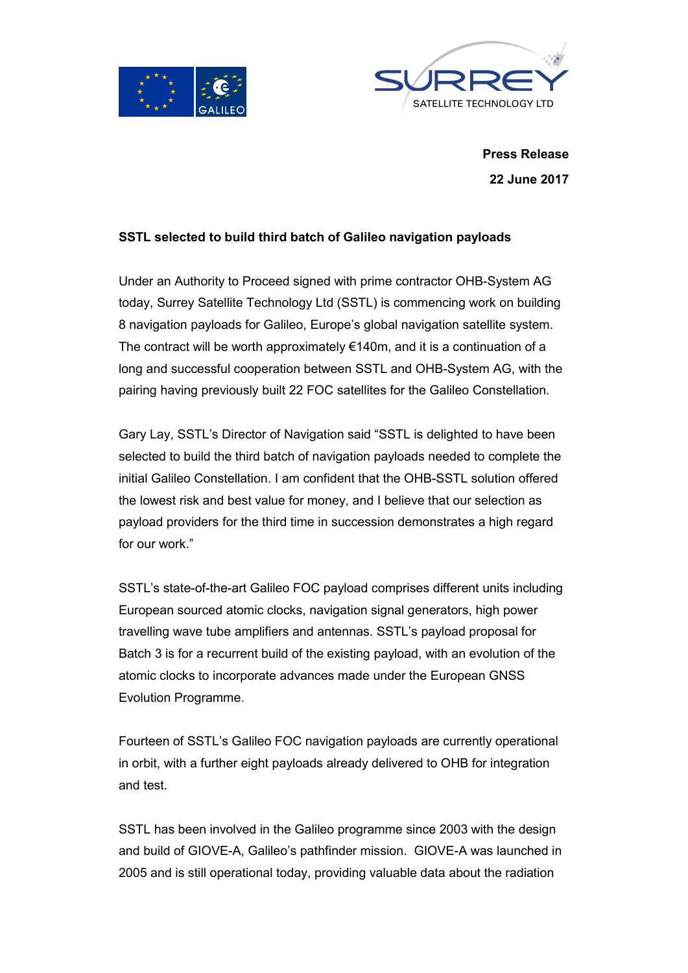



**Press Release 22 June 2017**

# **SSTL selected to build third batch of Galileo navigation payloads**

Under an Authority to Proceed signed with prime contractor OHB-System AG today, Surrey Satellite Technology Ltd (SSTL) is commencing work on building 8 navigation payloads for Galileo, Europe's global navigation satellite system. The contract will be worth approximately  $€140m$ , and it is a continuation of a long and successful cooperation between SSTL and OHB-System AG, with the pairing having previously built 22 FOC satellites for the Galileo Constellation.

Gary Lay, SSTL's Director of Navigation said "SSTL is delighted to have been selected to build the third batch of navigation payloads needed to complete the initial Galileo Constellation. I am confident that the OHB-SSTL solution offered the lowest risk and best value for money, and I believe that our selection as payload providers for the third time in succession demonstrates a high regard for our work."

SSTL's state-of-the-art Galileo FOC payload comprises different units including European sourced atomic clocks, navigation signal generators, high power travelling wave tube amplifiers and antennas. SSTL's payload proposal for Batch 3 is for a recurrent build of the existing payload, with an evolution of the atomic clocks to incorporate advances made under the European GNSS Evolution Programme.

Fourteen of SSTL's Galileo FOC navigation payloads are currently operational in orbit, with a further eight payloads already delivered to OHB for integration and test.

SSTL has been involved in the Galileo programme since 2003 with the design and build of GIOVE-A, Galileo's pathfinder mission. GIOVE-A was launched in 2005 and is still operational today, providing valuable data about the radiation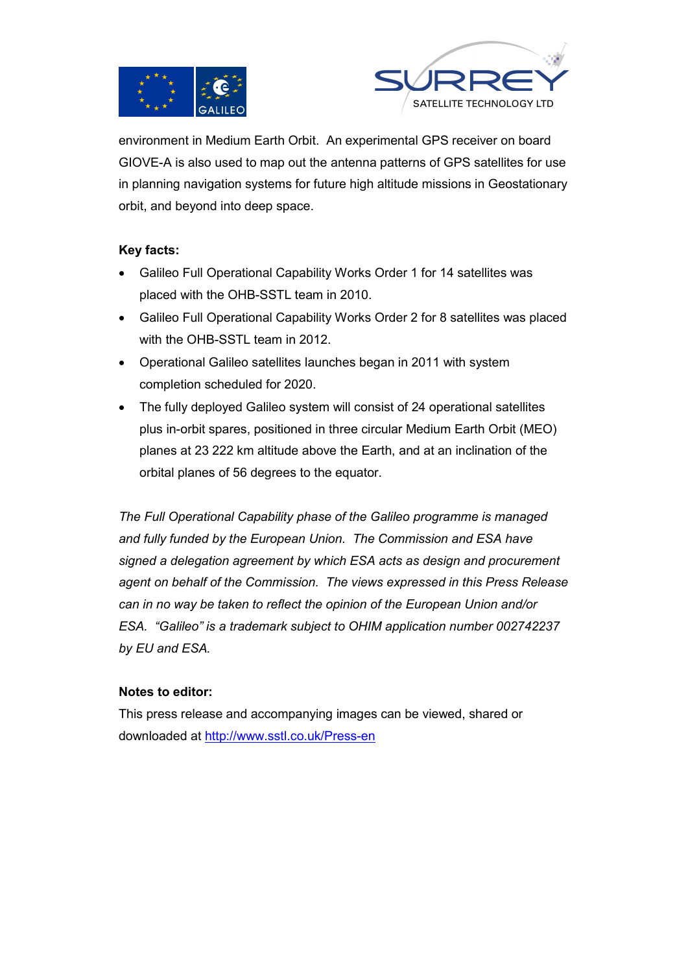



environment in Medium Earth Orbit. An experimental GPS receiver on board GIOVE-A is also used to map out the antenna patterns of GPS satellites for use in planning navigation systems for future high altitude missions in Geostationary orbit, and beyond into deep space.

# **Key facts:**

- Galileo Full Operational Capability Works Order 1 for 14 satellites was placed with the OHB-SSTL team in 2010.
- Galileo Full Operational Capability Works Order 2 for 8 satellites was placed with the OHB-SSTL team in 2012.
- Operational Galileo satellites launches began in 2011 with system completion scheduled for 2020.
- The fully deployed Galileo system will consist of 24 operational satellites plus in-orbit spares, positioned in three circular Medium Earth Orbit (MEO) planes at 23 222 km altitude above the Earth, and at an inclination of the orbital planes of 56 degrees to the equator.

*The Full Operational Capability phase of the Galileo programme is managed and fully funded by the European Union. The Commission and ESA have signed a delegation agreement by which ESA acts as design and procurement agent on behalf of the Commission. The views expressed in this Press Release can in no way be taken to reflect the opinion of the European Union and/or ESA. "Galileo" is a trademark subject to OHIM application number 002742237 by EU and ESA.* 

# **Notes to editor:**

This press release and accompanying images can be viewed, shared or downloaded at http://www.sstl.co.uk/Press-en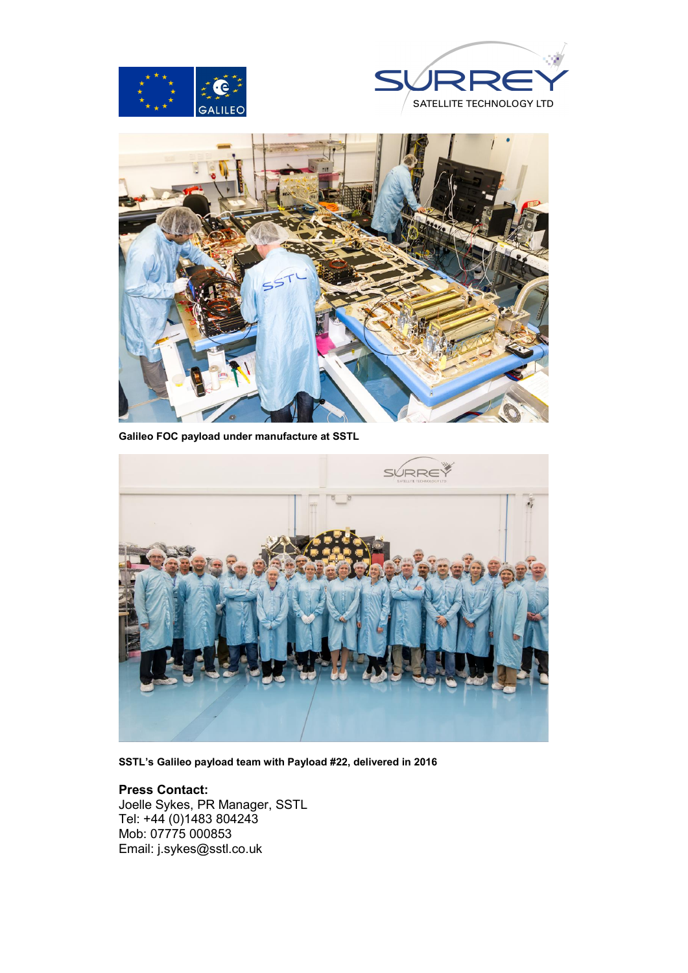





**Galileo FOC payload under manufacture at SSTL**



**SSTL's Galileo payload team with Payload #22, delivered in 2016**

#### **Press Contact:**

Joelle Sykes, PR Manager, SSTL Tel: +44 (0)1483 804243 Mob: 07775 000853 Email: j.sykes@sstl.co.uk